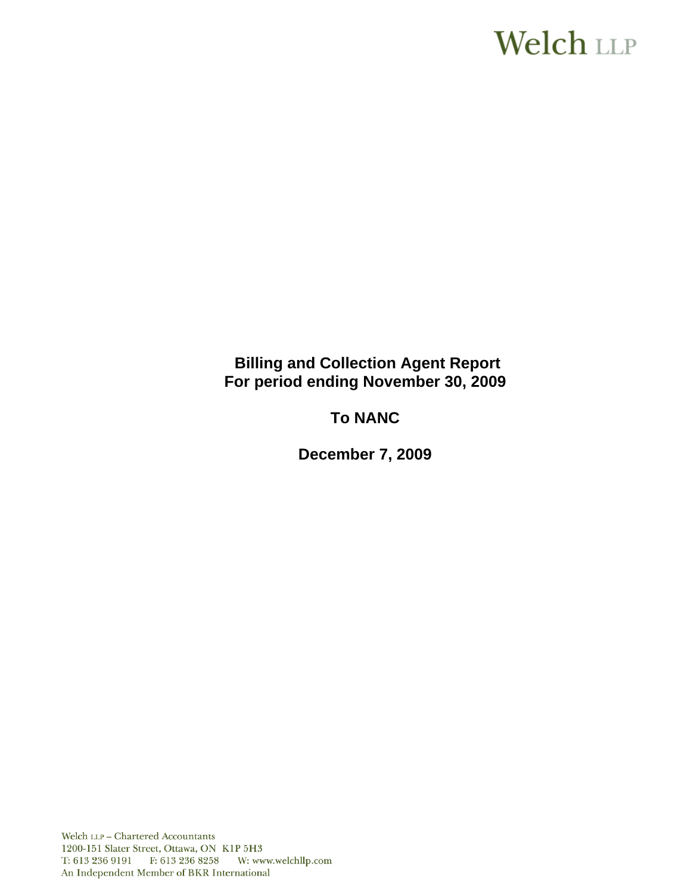# **Welch LLP**

# **Billing and Collection Agent Report** For period ending November 30, 2009

# **To NANC**

**December 7, 2009**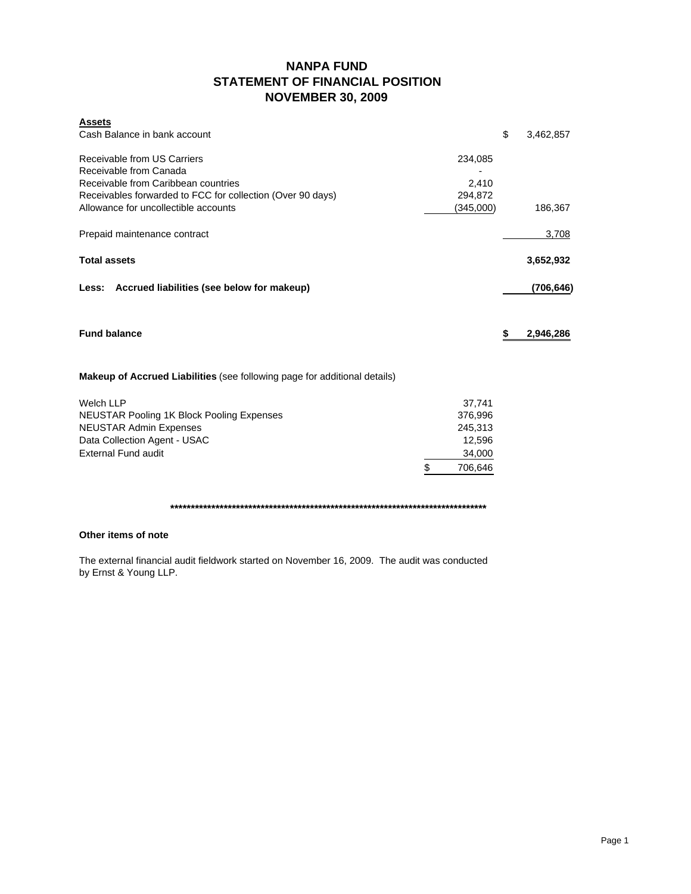## **NANPA FUND STATEMENT OF FINANCIAL POSITION NOVEMBER 30, 2009**

| <b>Assets</b><br>Cash Balance in bank account                                    |               | \$<br>3,462,857 |
|----------------------------------------------------------------------------------|---------------|-----------------|
| Receivable from US Carriers<br>Receivable from Canada                            | 234,085       |                 |
| Receivable from Caribbean countries                                              | 2,410         |                 |
| Receivables forwarded to FCC for collection (Over 90 days)                       | 294,872       |                 |
| Allowance for uncollectible accounts                                             | (345,000)     | 186,367         |
| Prepaid maintenance contract                                                     |               | 3,708           |
| <b>Total assets</b>                                                              |               | 3,652,932       |
| Less: Accrued liabilities (see below for makeup)                                 |               | (706,646)       |
| <b>Fund balance</b>                                                              |               | \$<br>2,946,286 |
| <b>Makeup of Accrued Liabilities</b> (see following page for additional details) |               |                 |
| <b>Welch LLP</b>                                                                 | 37,741        |                 |
| <b>NEUSTAR Pooling 1K Block Pooling Expenses</b>                                 | 376,996       |                 |
| <b>NEUSTAR Admin Expenses</b>                                                    | 245,313       |                 |
| Data Collection Agent - USAC                                                     | 12,596        |                 |
| <b>External Fund audit</b>                                                       | 34,000        |                 |
|                                                                                  | \$<br>706.646 |                 |

**\*\*\*\*\*\*\*\*\*\*\*\*\*\*\*\*\*\*\*\*\*\*\*\*\*\*\*\*\*\*\*\*\*\*\*\*\*\*\*\*\*\*\*\*\*\*\*\*\*\*\*\*\*\*\*\*\*\*\*\*\*\*\*\*\*\*\*\*\*\*\*\*\*\*\*\*\***

### **Other items of note**

The external financial audit fieldwork started on November 16, 2009. The audit was conducted by Ernst & Young LLP.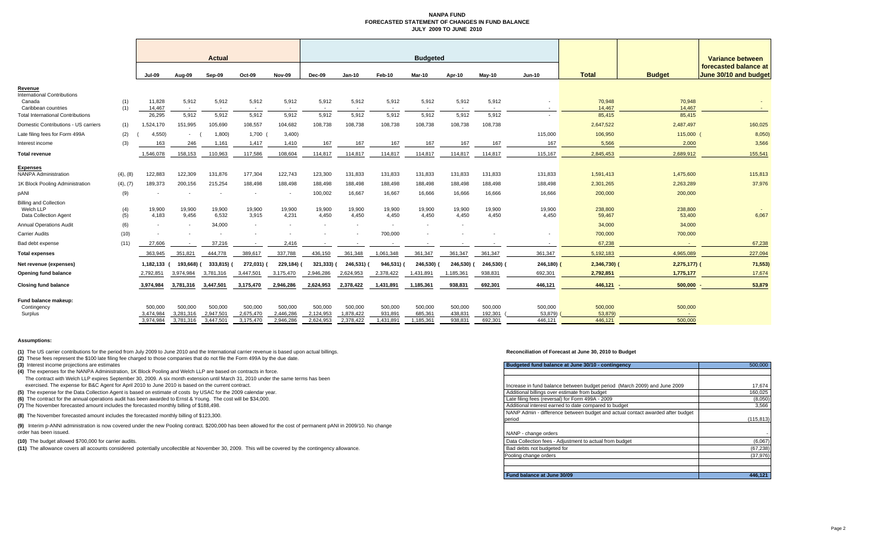#### **NANPA FUND FORECASTED STATEMENT OF CHANGES IN FUND BALANCEJULY 2009 TO JUNE 2010**

|                                                                     |            | <b>Actual</b>                     |                                   | <b>Budgeted</b>                  |                                   |                                   |                                   |                                   |                                 |                                 |                               | Variance between              |                               |                              |                    |                                                |
|---------------------------------------------------------------------|------------|-----------------------------------|-----------------------------------|----------------------------------|-----------------------------------|-----------------------------------|-----------------------------------|-----------------------------------|---------------------------------|---------------------------------|-------------------------------|-------------------------------|-------------------------------|------------------------------|--------------------|------------------------------------------------|
|                                                                     |            | <b>Jul-09</b>                     | Aug-09                            | Sep-09                           | Oct-09                            | <b>Nov-09</b>                     | Dec-09                            | <b>Jan-10</b>                     | Feb-10                          | Mar-10                          | Apr-10                        | $May-10$                      | <b>Jun-10</b>                 | <b>Total</b>                 | <b>Budget</b>      | forecasted balance at<br>June 30/10 and budget |
| Revenue<br><b>International Contributions</b>                       |            |                                   |                                   |                                  |                                   |                                   |                                   |                                   |                                 |                                 |                               |                               |                               |                              |                    |                                                |
| Canada<br>Caribbean countries                                       | (1)<br>(1) | 11,828<br>14,467                  | 5,912<br>$\sim$                   | 5,912<br>$\sim$                  | 5,912<br>$\sim$                   | 5,912<br>$\sim$                   | 5,912<br>$\sim$                   | 5,912<br>$\sim$                   | 5,912<br>$\sim$                 | 5,912<br>$\sim$                 | 5,912<br>$\sim$               | 5,912<br>$\sim$               | $\sim$                        | 70,948<br>14,467             | 70,948<br>14,467   |                                                |
| <b>Total International Contributions</b>                            |            | 26,295                            | 5,912                             | 5,912                            | 5,912                             | 5,912                             | 5,912                             | 5,912                             | 5,912                           | 5,912                           | 5,912                         | 5,912                         |                               | 85,415                       | 85,415             |                                                |
| Domestic Contributions - US carriers                                | (1)        | 1,524,170                         | 151,995                           | 105,690                          | 108,557                           | 104,682                           | 108,738                           | 108,738                           | 108,738                         | 108,738                         | 108,738                       | 108,738                       |                               | 2,647,522                    | 2,487,497          | 160,025                                        |
| Late filing fees for Form 499A                                      | (2)        | 4,550                             | $\sim$                            | 1,800)                           | 1,700                             | 3,400                             |                                   |                                   |                                 |                                 |                               |                               | 115,000                       | 106,950                      | 115,000 (          | 8,050                                          |
| Interest income                                                     | (3)        | 163                               | 246                               | 1,161                            | 1,417                             | 1,410                             | 167                               | 167                               | 167                             | 167                             | 167                           | 167                           | 167                           | 5,566                        | 2,000              | 3,566                                          |
| Total revenue                                                       |            | 1,546,078                         | 158,153                           | 110,963                          | 117,586                           | 108,604                           | 114,817                           | 114,817                           | 114,817                         | 114,817                         | 114,817                       | 114,817                       | 115,167                       | 2,845,453                    | 2,689,912          | 155,541                                        |
| Expenses<br><b>NANPA Administration</b>                             | (4), (8)   | 122,883                           | 122,309                           | 131,876                          | 177,304                           | 122,743                           | 123,300                           | 131,833                           | 131,833                         | 131,833                         | 131,833                       | 131,833                       | 131,833                       | 1,591,413                    | 1,475,600          | 115,813                                        |
| 1K Block Pooling Administration                                     | (4), (7)   | 189,373                           | 200,156                           | 215,254                          | 188,498                           | 188,498                           | 188,498                           | 188,498                           | 188,498                         | 188,498                         | 188,498                       | 188,498                       | 188,498                       | 2,301,265                    | 2,263,289          | 37,976                                         |
| pANI                                                                | (9)        |                                   |                                   | $\overline{\phantom{a}}$         | $\overline{\phantom{a}}$          | $\sim$                            | 100,002                           | 16,667                            | 16,667                          | 16,666                          | 16,666                        | 16,666                        | 16,666                        | 200,000                      | 200,000            |                                                |
| <b>Billing and Collection</b><br>Welch LLP<br>Data Collection Agent | (4)<br>(5) | 19,900<br>4,183                   | 19,900<br>9,456                   | 19,900<br>6,532                  | 19,900<br>3,915                   | 19,900<br>4,231                   | 19,900<br>4,450                   | 19,900<br>4,450                   | 19,900<br>4,450                 | 19,900<br>4,450                 | 19,900<br>4,450               | 19,900<br>4,450               | 19,900<br>4,450               | 238,800<br>59,467            | 238,800<br>53,400  | 6,067                                          |
| <b>Annual Operations Audit</b>                                      | (6)        | $\overline{\phantom{a}}$          |                                   | 34,000                           | $\sim$                            | $\overline{a}$                    | $\sim$                            |                                   | $\sim$                          | $\sim$                          | $\sim$                        |                               |                               | 34,000                       | 34,000             |                                                |
| <b>Carrier Audits</b>                                               | (10)       |                                   |                                   |                                  |                                   |                                   |                                   |                                   | 700,000                         |                                 |                               |                               |                               | 700,000                      | 700,000            |                                                |
| Bad debt expense                                                    | (11)       | 27,606                            |                                   | 37,216                           | $\overline{\phantom{a}}$          | 2,416                             |                                   |                                   |                                 |                                 |                               |                               |                               | 67,238                       |                    | 67,238                                         |
| <b>Total expenses</b>                                               |            | 363,945                           | 351,821                           | 444,778                          | 389,617                           | 337,788                           | 436,150                           | 361,348                           | 1,061,348                       | 361,347                         | 361,347                       | 361,347                       | 361,347                       | 5,192,183                    | 4,965,089          | 227,094                                        |
| Net revenue (expenses)                                              |            | 1,182,133                         | 193,668)                          | 333,815)                         | 272,031)                          | 229,184)                          | 321,333)                          | 246,531) (                        | 946,531) (                      | 246,530)                        | 246,530)                      | 246,530)                      | $246,180$ )                   | $2,346,730$ (                | $2,275,177$ ) (    | 71,553)                                        |
| <b>Opening fund balance</b>                                         |            | 2,792,851                         | 3,974,984                         | 3,781,316                        | 3,447,501                         | 3,175,470                         | 2,946,286                         | 2,624,953                         | 2,378,422                       | 1,431,891                       | 1,185,361                     | 938,831                       | 692,301                       | 2,792,851                    | 1,775,177          | 17,674                                         |
| <b>Closing fund balance</b>                                         |            | 3,974,984                         | 3,781,316                         | 3,447,501                        | 3,175,470                         | 2,946,286                         | 2,624,953                         | 2,378,422                         | 1,431,891                       | 1,185,361                       | 938,831                       | 692,301                       | 446,121                       | $446,121 -$                  | 500,000            | 53,879                                         |
| Fund balance makeup:<br>Contingency<br>Surplus                      |            | 500,000<br>3,474,984<br>3.974.984 | 500,000<br>3,281,316<br>3.781.316 | 500,000<br>2,947,50<br>3.447.501 | 500,000<br>2,675,470<br>3.175.470 | 500,000<br>2,446,286<br>2.946.286 | 500,000<br>2,124,953<br>2.624.953 | 500,000<br>1,878,422<br>2.378.422 | 500,000<br>931,891<br>1.431.891 | 500,000<br>685,361<br>1.185.361 | 500,000<br>438,83'<br>938.831 | 500,000<br>192,301<br>692.301 | 500,000<br>53,879)<br>446.121 | 500,000<br>53,879<br>446.121 | 500,000<br>500.000 |                                                |
|                                                                     |            |                                   |                                   |                                  |                                   |                                   |                                   |                                   |                                 |                                 |                               |                               |                               |                              |                    |                                                |

#### **Assumptions:**

**(1)** The US carrier contributions for the period from July 2009 to June 2010 and the International carrier revenue is based upon actual billings.

**(2)** These fees represent the \$100 late filing fee charged to those companies that do not file the Form 499A by the due date.

**(3)** Interest income projections are estimates

**(4)** The expenses for the NANPA Administration, 1K Block Pooling and Welch LLP are based on contracts in force. The contract with Welch LLP expires September 30, 2009. A six month extension until March 31, 2010 under the same terms has been

exercised. The expense for B&C Agent for April 2010 to June 2010 is based on the current contract.

**(5)** The expense for the Data Collection Agent is based on estimate of costs by USAC for the 2009 calendar year.

**(6)** The contract for the annual operations audit has been awarded to Ernst & Young. The cost will be \$34,000.

**(7)** The November forecasted amount includes the forecasted monthly billing of \$188,498.

**(8)** The November forecasted amount includes the forecasted monthly billing of \$123,300.

**(9)** Interim p-ANNI administration is now covered under the new Pooling contract. \$200,000 has been allowed for the cost of permanent pANI in 2009/10. No change order has been issued.

**(10)** The budget allowed \$700,000 for carrier audits.

**(11)** The allowance covers all accounts considered potentially uncollectible at November 30, 2009. This will be covered by the contingency allowance.

#### **Reconciliation of Forecast at June 30, 2010 to Budget**

| Budgeted fund balance at June 30/10 - contingency                              | 500,000    |
|--------------------------------------------------------------------------------|------------|
|                                                                                |            |
|                                                                                |            |
| Increase in fund balance between budget period (March 2009) and June 2009      | 17,674     |
| Additional billings over estimate from budget                                  | 160,025    |
| Late filing fees (reversal) for Form 499A - 2009                               | (8,050)    |
| Additional interest earned to date compared to budget                          | 3.566      |
| NANP Admin - difference between budget and actual contact awarded after budget |            |
| period                                                                         | (115, 813) |
|                                                                                |            |
| NANP - change orders                                                           |            |
| Data Collection fees - Adjustment to actual from budget                        | (6,067)    |
| Bad debts not budgeted for                                                     | (67, 238)  |
| Pooling change orders                                                          | (37.976)   |
|                                                                                |            |
|                                                                                |            |
| Fund balance at June 30/09                                                     | 446.121    |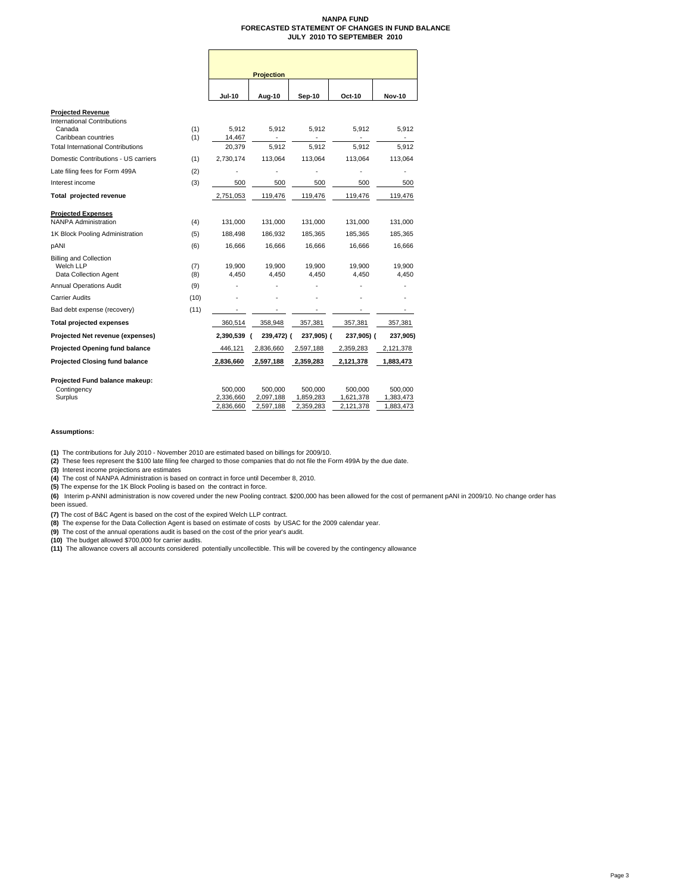### **NANPA FUND FORECASTED STATEMENT OF CHANGES IN FUND BALANCE JULY 2010 TO SEPTEMBER 2010**

|                                                                                   |                      | <b>Projection</b>    |                      |                      |                      |  |
|-----------------------------------------------------------------------------------|----------------------|----------------------|----------------------|----------------------|----------------------|--|
|                                                                                   | <b>Jul-10</b>        | Aug-10               | Sep-10               | Oct-10               | <b>Nov-10</b>        |  |
| <b>Projected Revenue</b><br><b>International Contributions</b>                    |                      |                      |                      |                      |                      |  |
| (1)<br>Canada<br>Caribbean countries<br>(1)                                       | 5,912<br>14,467      | 5,912                | 5,912                | 5,912                | 5,912                |  |
| <b>Total International Contributions</b>                                          | 20,379               | 5.912                | 5.912                | 5.912                | 5.912                |  |
| Domestic Contributions - US carriers<br>(1)                                       | 2,730,174            | 113,064              | 113,064              | 113.064              | 113,064              |  |
| (2)<br>Late filing fees for Form 499A                                             |                      |                      |                      |                      |                      |  |
| Interest income<br>(3)                                                            | 500                  | 500                  | 500                  | 500                  | 500                  |  |
| Total projected revenue                                                           | 2,751,053            | 119,476              | 119,476              | 119,476              | 119,476              |  |
| <b>Projected Expenses</b>                                                         |                      |                      |                      |                      |                      |  |
| <b>NANPA Administration</b><br>(4)                                                | 131.000              | 131,000              | 131,000              | 131,000              | 131,000              |  |
| (5)<br>1K Block Pooling Administration                                            | 188,498              | 186,932              | 185,365              | 185,365              | 185,365              |  |
| pANI<br>(6)                                                                       | 16,666               | 16,666               | 16,666               | 16,666               | 16,666               |  |
| <b>Billing and Collection</b><br>Welch LLP<br>(7)<br>Data Collection Agent<br>(8) | 19,900<br>4.450      | 19,900<br>4.450      | 19,900<br>4.450      | 19.900<br>4.450      | 19,900<br>4,450      |  |
| <b>Annual Operations Audit</b><br>(9)                                             |                      |                      |                      |                      |                      |  |
| <b>Carrier Audits</b><br>(10)                                                     |                      |                      |                      |                      |                      |  |
| Bad debt expense (recovery)<br>(11)                                               |                      |                      |                      |                      |                      |  |
| <b>Total projected expenses</b>                                                   | 360,514              | 358,948              | 357,381              | 357,381              | 357,381              |  |
| Projected Net revenue (expenses)                                                  | 2,390,539            | 239,472) (           | 237,905) (           | 237,905) (           | 237,905)             |  |
| <b>Projected Opening fund balance</b>                                             | 446,121              | 2,836,660            | 2,597,188            | 2,359,283            | 2,121,378            |  |
| <b>Projected Closing fund balance</b>                                             | 2,836,660            | 2,597,188            | 2,359,283            | 2,121,378            | 1,883,473            |  |
| Projected Fund balance makeup:<br>Contingency<br>Surplus                          | 500,000<br>2,336,660 | 500,000<br>2,097,188 | 500,000<br>1,859,283 | 500,000<br>1,621,378 | 500,000<br>1,383,473 |  |
|                                                                                   | 2,836,660            | 2,597,188            | 2,359,283            | 2,121,378            | 1,883,473            |  |

**Assumptions:**

**(1)** The contributions for July 2010 - November 2010 are estimated based on billings for 2009/10.

**(2)** These fees represent the \$100 late filing fee charged to those companies that do not file the Form 499A by the due date.

**(3)** Interest income projections are estimates

**(4)** The cost of NANPA Administration is based on contract in force until December 8, 2010. **(5)** The expense for the 1K Block Pooling is based on the contract in force.

**(6)** Interim p-ANNI administration is now covered under the new Pooling contract. \$200,000 has been allowed for the cost of permanent pANI in 2009/10. No change order has been issued.

**(7)** The cost of B&C Agent is based on the cost of the expired Welch LLP contract.

**(8)** The expense for the Data Collection Agent is based on estimate of costs by USAC for the 2009 calendar year.<br>**(9)** The cost of the annual operations audit is based on the cost of the prior year's audit.<br>**(10)** The bu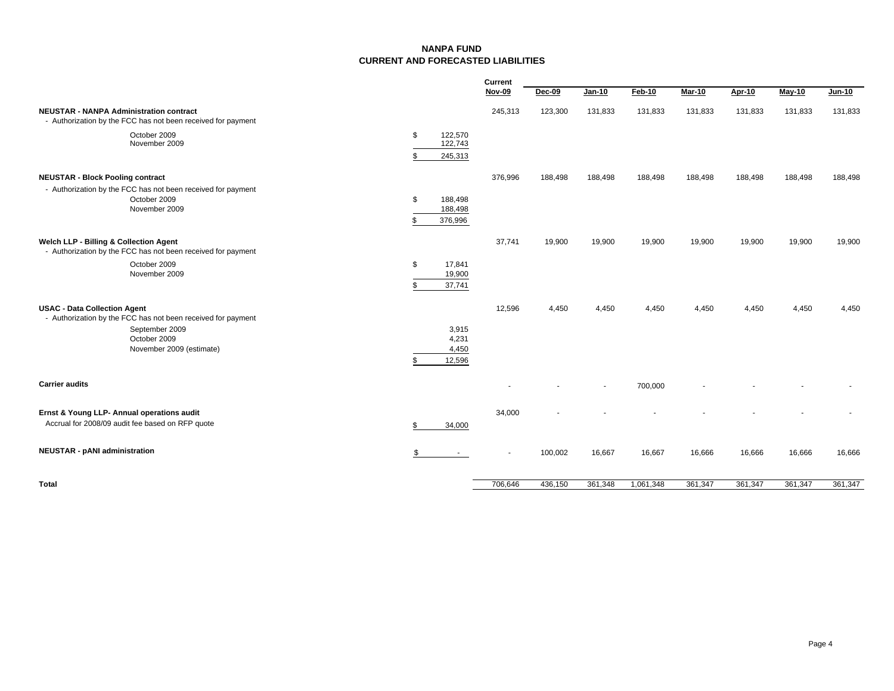### **NANPA FUNDCURRENT AND FORECASTED LIABILITIES**

|                                                                                                                                                                   |                                           | Current |         |         |           |               |         |         |               |
|-------------------------------------------------------------------------------------------------------------------------------------------------------------------|-------------------------------------------|---------|---------|---------|-----------|---------------|---------|---------|---------------|
|                                                                                                                                                                   |                                           | Nov-09  | Dec-09  | Jan-10  | Feb-10    | <b>Mar-10</b> | Apr-10  | May-10  | <b>Jun-10</b> |
| <b>NEUSTAR - NANPA Administration contract</b><br>- Authorization by the FCC has not been received for payment                                                    |                                           | 245,313 | 123,300 | 131,833 | 131,833   | 131,833       | 131,833 | 131,833 | 131,833       |
| October 2009<br>November 2009                                                                                                                                     | 122,570<br>\$<br>122,743<br>245,313<br>\$ |         |         |         |           |               |         |         |               |
| <b>NEUSTAR - Block Pooling contract</b><br>- Authorization by the FCC has not been received for payment<br>October 2009<br>November 2009                          | \$<br>188,498<br>188,498<br>376,996       | 376,996 | 188,498 | 188,498 | 188,498   | 188,498       | 188,498 | 188,498 | 188,498       |
| Welch LLP - Billing & Collection Agent<br>- Authorization by the FCC has not been received for payment<br>October 2009<br>November 2009                           | \$<br>17,841<br>19,900<br>37,741<br>\$.   | 37,741  | 19,900  | 19,900  | 19,900    | 19,900        | 19,900  | 19,900  | 19,900        |
| <b>USAC - Data Collection Agent</b><br>- Authorization by the FCC has not been received for payment<br>September 2009<br>October 2009<br>November 2009 (estimate) | 3,915<br>4,231<br>4,450<br>12,596         | 12,596  | 4,450   | 4,450   | 4,450     | 4,450         | 4,450   | 4,450   | 4,450         |
| <b>Carrier audits</b>                                                                                                                                             |                                           |         |         |         | 700,000   |               |         |         |               |
| Ernst & Young LLP- Annual operations audit<br>Accrual for 2008/09 audit fee based on RFP quote                                                                    | 34,000                                    | 34,000  |         |         |           |               |         |         |               |
| <b>NEUSTAR - pANI administration</b>                                                                                                                              | \$<br>$\sim$                              |         | 100,002 | 16,667  | 16,667    | 16,666        | 16,666  | 16,666  | 16,666        |
| Total                                                                                                                                                             |                                           | 706,646 | 436,150 | 361,348 | 1,061,348 | 361,347       | 361,347 | 361,347 | 361,347       |